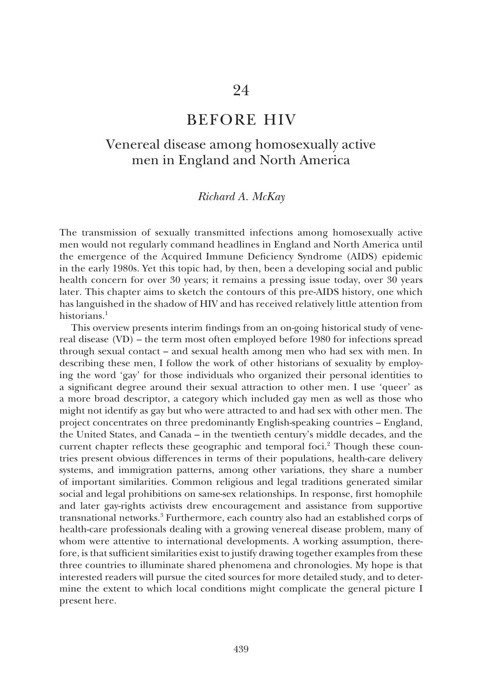# Venereal disease among homosexually active men in England and North America

# *Richard A. McKay*

The transmission of sexually transmitted infections among homosexually active men would not regularly command headlines in England and North America until the emergence of the Acquired Immune Deficiency Syndrome (AIDS) epidemic in the early 1980s. Yet this topic had, by then, been a developing social and public health concern for over 30 years; it remains a pressing issue today, over 30 years later. This chapter aims to sketch the contours of this pre-AIDS history, one which has languished in the shadow of HIV and has received relatively little attention from historians.<sup>1</sup>

This overview presents interim findings from an on-going historical study of venereal disease (VD) – the term most often employed before 1980 for infections spread through sexual contact – and sexual health among men who had sex with men. In describing these men, I follow the work of other historians of sexuality by employing the word 'gay' for those individuals who organized their personal identities to a significant degree around their sexual attraction to other men. I use 'queer' as a more broad descriptor, a category which included gay men as well as those who might not identify as gay but who were attracted to and had sex with other men. The project concentrates on three predominantly English-speaking countries – England, the United States, and Canada – in the twentieth century's middle decades, and the current chapter reflects these geographic and temporal foci.<sup>2</sup> Though these countries present obvious differences in terms of their populations, health-care delivery systems, and immigration patterns, among other variations, they share a number of important similarities. Common religious and legal traditions generated similar social and legal prohibitions on same-sex relationships. In response, first homophile and later gay-rights activists drew encouragement and assistance from supportive transnational networks.<sup>3</sup> Furthermore, each country also had an established corps of health-care professionals dealing with a growing venereal disease problem, many of whom were attentive to international developments. A working assumption, therefore, is that sufficient similarities exist to justify drawing together examples from these three countries to illuminate shared phenomena and chronologies. My hope is that interested readers will pursue the cited sources for more detailed study, and to determine the extent to which local conditions might complicate the general picture I present here.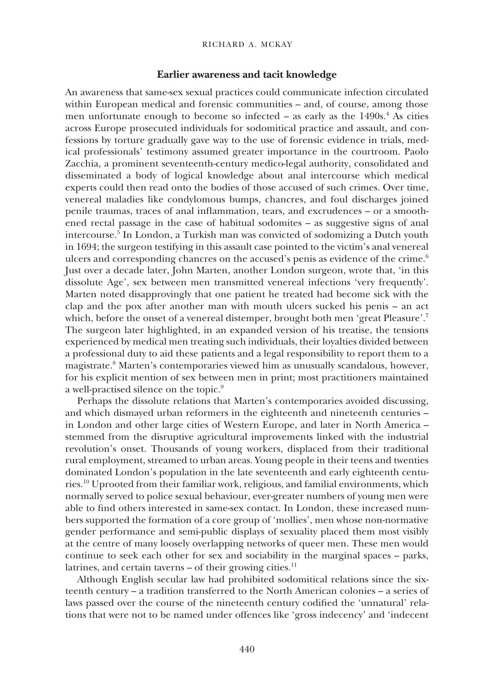## **Earlier awareness and tacit knowledge**

An awareness that same-sex sexual practices could communicate infection circulated within European medical and forensic communities – and, of course, among those men unfortunate enough to become so infected  $-$  as early as the  $1490s$ .<sup>4</sup> As cities across Europe prosecuted individuals for sodomitical practice and assault, and confessions by torture gradually gave way to the use of forensic evidence in trials, medical professionals' testimony assumed greater importance in the courtroom. Paolo Zacchia, a prominent seventeenth-century medico-legal authority, consolidated and disseminated a body of logical knowledge about anal intercourse which medical experts could then read onto the bodies of those accused of such crimes. Over time, venereal maladies like condylomous bumps, chancres, and foul discharges joined penile traumas, traces of anal inflammation, tears, and excrudences – or a smoothened rectal passage in the case of habitual sodomites – as suggestive signs of anal intercourse.5 In London, a Turkish man was convicted of sodomizing a Dutch youth in 1694; the surgeon testifying in this assault case pointed to the victim's anal venereal ulcers and corresponding chancres on the accused's penis as evidence of the crime.<sup>6</sup> Just over a decade later, John Marten, another London surgeon, wrote that, 'in this dissolute Age', sex between men transmitted venereal infections 'very frequently'. Marten noted disapprovingly that one patient he treated had become sick with the clap and the pox after another man with mouth ulcers sucked his penis – an act which, before the onset of a venereal distemper, brought both men 'great Pleasure'.<sup>7</sup> The surgeon later highlighted, in an expanded version of his treatise, the tensions experienced by medical men treating such individuals, their loyalties divided between a professional duty to aid these patients and a legal responsibility to report them to a magistrate.8 Marten's contemporaries viewed him as unusually scandalous, however, for his explicit mention of sex between men in print; most practitioners maintained a well-practised silence on the topic.<sup>9</sup>

Perhaps the dissolute relations that Marten's contemporaries avoided discussing, and which dismayed urban reformers in the eighteenth and nineteenth centuries – in London and other large cities of Western Europe, and later in North America – stemmed from the disruptive agricultural improvements linked with the industrial revolution's onset. Thousands of young workers, displaced from their traditional rural employment, streamed to urban areas. Young people in their teens and twenties dominated London's population in the late seventeenth and early eighteenth centuries.10 Uprooted from their familiar work, religious, and familial environments, which normally served to police sexual behaviour, ever-greater numbers of young men were able to find others interested in same-sex contact. In London, these increased numbers supported the formation of a core group of 'mollies', men whose non-normative gender performance and semi-public displays of sexuality placed them most visibly at the centre of many loosely overlapping networks of queer men. These men would continue to seek each other for sex and sociability in the marginal spaces – parks, latrines, and certain taverns  $-$  of their growing cities.<sup>11</sup>

Although English secular law had prohibited sodomitical relations since the sixteenth century – a tradition transferred to the North American colonies – a series of laws passed over the course of the nineteenth century codified the 'unnatural' relations that were not to be named under offences like 'gross indecency' and 'indecent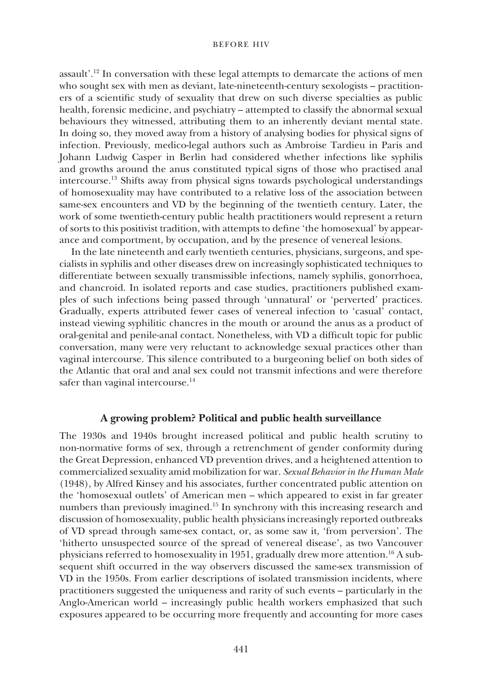assault'.<sup>12</sup> In conversation with these legal attempts to demarcate the actions of men who sought sex with men as deviant, late-nineteenth-century sexologists – practitioners of a scientific study of sexuality that drew on such diverse specialties as public health, forensic medicine, and psychiatry – attempted to classify the abnormal sexual behaviours they witnessed, attributing them to an inherently deviant mental state. In doing so, they moved away from a history of analysing bodies for physical signs of infection. Previously, medico-legal authors such as Ambroise Tardieu in Paris and Johann Ludwig Casper in Berlin had considered whether infections like syphilis and growths around the anus constituted typical signs of those who practised anal intercourse.13 Shifts away from physical signs towards psychological understandings of homosexuality may have contributed to a relative loss of the association between same-sex encounters and VD by the beginning of the twentieth century. Later, the work of some twentieth-century public health practitioners would represent a return of sorts to this positivist tradition, with attempts to define 'the homosexual' by appearance and comportment, by occupation, and by the presence of venereal lesions.

In the late nineteenth and early twentieth centuries, physicians, surgeons, and specialists in syphilis and other diseases drew on increasingly sophisticated techniques to differentiate between sexually transmissible infections, namely syphilis, gonorrhoea, and chancroid. In isolated reports and case studies, practitioners published examples of such infections being passed through 'unnatural' or 'perverted' practices. Gradually, experts attributed fewer cases of venereal infection to 'casual' contact, instead viewing syphilitic chancres in the mouth or around the anus as a product of oral-genital and penile-anal contact. Nonetheless, with VD a difficult topic for public conversation, many were very reluctant to acknowledge sexual practices other than vaginal intercourse. This silence contributed to a burgeoning belief on both sides of the Atlantic that oral and anal sex could not transmit infections and were therefore safer than vaginal intercourse.<sup>14</sup>

## **A growing problem? Political and public health surveillance**

The 1930s and 1940s brought increased political and public health scrutiny to non-normative forms of sex, through a retrenchment of gender conformity during the Great Depression, enhanced VD prevention drives, and a heightened attention to commercialized sexuality amid mobilization for war. *Sexual Behavior in the Human Male*  (1948), by Alfred Kinsey and his associates, further concentrated public attention on the 'homosexual outlets' of American men – which appeared to exist in far greater numbers than previously imagined.<sup>15</sup> In synchrony with this increasing research and discussion of homosexuality, public health physicians increasingly reported outbreaks of VD spread through same-sex contact, or, as some saw it, 'from perversion'. The 'hitherto unsuspected source of the spread of venereal disease', as two Vancouver physicians referred to homosexuality in 1951, gradually drew more attention.<sup>16</sup> A subsequent shift occurred in the way observers discussed the same-sex transmission of VD in the 1950s. From earlier descriptions of isolated transmission incidents, where practitioners suggested the uniqueness and rarity of such events – particularly in the Anglo-American world – increasingly public health workers emphasized that such exposures appeared to be occurring more frequently and accounting for more cases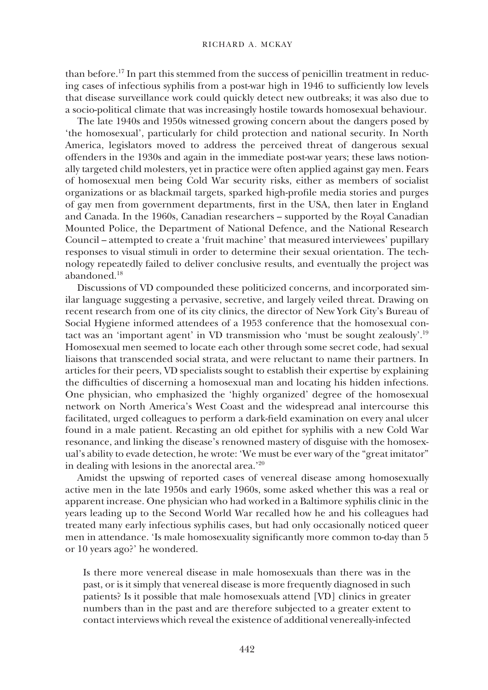than before.<sup>17</sup> In part this stemmed from the success of penicillin treatment in reducing cases of infectious syphilis from a post-war high in 1946 to sufficiently low levels that disease surveillance work could quickly detect new outbreaks; it was also due to a socio-political climate that was increasingly hostile towards homosexual behaviour.

The late 1940s and 1950s witnessed growing concern about the dangers posed by 'the homosexual', particularly for child protection and national security. In North America, legislators moved to address the perceived threat of dangerous sexual offenders in the 1930s and again in the immediate post-war years; these laws notionally targeted child molesters, yet in practice were often applied against gay men. Fears of homosexual men being Cold War security risks, either as members of socialist organizations or as blackmail targets, sparked high-profile media stories and purges of gay men from government departments, first in the USA, then later in England and Canada. In the 1960s, Canadian researchers – supported by the Royal Canadian Mounted Police, the Department of National Defence, and the National Research Council – attempted to create a 'fruit machine' that measured interviewees' pupillary responses to visual stimuli in order to determine their sexual orientation. The technology repeatedly failed to deliver conclusive results, and eventually the project was abandoned.18

Discussions of VD compounded these politicized concerns, and incorporated similar language suggesting a pervasive, secretive, and largely veiled threat. Drawing on recent research from one of its city clinics, the director of New York City's Bureau of Social Hygiene informed attendees of a 1953 conference that the homosexual contact was an 'important agent' in VD transmission who 'must be sought zealously'.19 Homosexual men seemed to locate each other through some secret code, had sexual liaisons that transcended social strata, and were reluctant to name their partners. In articles for their peers, VD specialists sought to establish their expertise by explaining the difficulties of discerning a homosexual man and locating his hidden infections. One physician, who emphasized the 'highly organized' degree of the homosexual network on North America's West Coast and the widespread anal intercourse this facilitated, urged colleagues to perform a dark-field examination on every anal ulcer found in a male patient. Recasting an old epithet for syphilis with a new Cold War resonance, and linking the disease's renowned mastery of disguise with the homosexual's ability to evade detection, he wrote: 'We must be ever wary of the "great imitator" in dealing with lesions in the anorectal area.'20

Amidst the upswing of reported cases of venereal disease among homosexually active men in the late 1950s and early 1960s, some asked whether this was a real or apparent increase. One physician who had worked in a Baltimore syphilis clinic in the years leading up to the Second World War recalled how he and his colleagues had treated many early infectious syphilis cases, but had only occasionally noticed queer men in attendance. 'Is male homosexuality significantly more common to-day than 5 or 10 years ago?' he wondered.

Is there more venereal disease in male homosexuals than there was in the past, or is it simply that venereal disease is more frequently diagnosed in such patients? Is it possible that male homosexuals attend [VD] clinics in greater numbers than in the past and are therefore subjected to a greater extent to contact interviews which reveal the existence of additional venereally-infected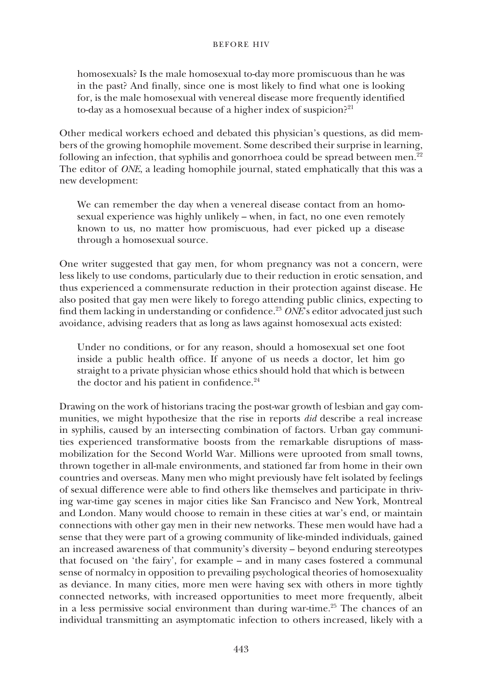homosexuals? Is the male homosexual to-day more promiscuous than he was in the past? And finally, since one is most likely to find what one is looking for, is the male homosexual with venereal disease more frequently identified to-day as a homosexual because of a higher index of suspicion? $21$ 

Other medical workers echoed and debated this physician's questions, as did members of the growing homophile movement. Some described their surprise in learning, following an infection, that syphilis and gonorrhoea could be spread between men.<sup>22</sup> The editor of *ONE*, a leading homophile journal, stated emphatically that this was a new development:

We can remember the day when a venereal disease contact from an homosexual experience was highly unlikely – when, in fact, no one even remotely known to us, no matter how promiscuous, had ever picked up a disease through a homosexual source.

One writer suggested that gay men, for whom pregnancy was not a concern, were less likely to use condoms, particularly due to their reduction in erotic sensation, and thus experienced a commensurate reduction in their protection against disease. He also posited that gay men were likely to forego attending public clinics, expecting to find them lacking in understanding or confidence.23 *ONE*'s editor advocated just such avoidance, advising readers that as long as laws against homosexual acts existed:

Under no conditions, or for any reason, should a homosexual set one foot inside a public health office. If anyone of us needs a doctor, let him go straight to a private physician whose ethics should hold that which is between the doctor and his patient in confidence.<sup>24</sup>

Drawing on the work of historians tracing the post-war growth of lesbian and gay communities, we might hypothesize that the rise in reports *did* describe a real increase in syphilis, caused by an intersecting combination of factors. Urban gay communities experienced transformative boosts from the remarkable disruptions of massmobilization for the Second World War. Millions were uprooted from small towns, thrown together in all-male environments, and stationed far from home in their own countries and overseas. Many men who might previously have felt isolated by feelings of sexual difference were able to find others like themselves and participate in thriving war-time gay scenes in major cities like San Francisco and New York, Montreal and London. Many would choose to remain in these cities at war's end, or maintain connections with other gay men in their new networks. These men would have had a sense that they were part of a growing community of like-minded individuals, gained an increased awareness of that community's diversity – beyond enduring stereotypes that focused on 'the fairy', for example – and in many cases fostered a communal sense of normalcy in opposition to prevailing psychological theories of homosexuality as deviance. In many cities, more men were having sex with others in more tightly connected networks, with increased opportunities to meet more frequently, albeit in a less permissive social environment than during war-time.25 The chances of an individual transmitting an asymptomatic infection to others increased, likely with a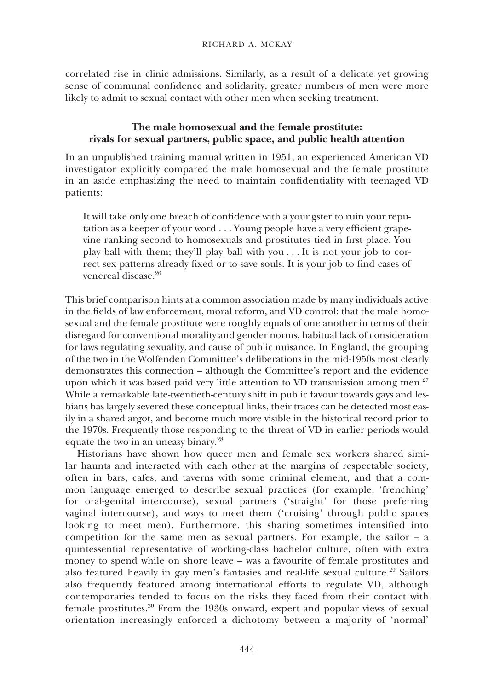correlated rise in clinic admissions. Similarly, as a result of a delicate yet growing sense of communal confidence and solidarity, greater numbers of men were more likely to admit to sexual contact with other men when seeking treatment.

# **The male homosexual and the female prostitute: rivals for sexual partners, public space, and public health attention**

In an unpublished training manual written in 1951, an experienced American VD investigator explicitly compared the male homosexual and the female prostitute in an aside emphasizing the need to maintain confidentiality with teenaged VD patients:

It will take only one breach of confidence with a youngster to ruin your reputation as a keeper of your word . . . Young people have a very efficient grapevine ranking second to homosexuals and prostitutes tied in first place. You play ball with them; they'll play ball with you . . . It is not your job to correct sex patterns already fixed or to save souls. It is your job to find cases of venereal disease.26

This brief comparison hints at a common association made by many individuals active in the fields of law enforcement, moral reform, and VD control: that the male homosexual and the female prostitute were roughly equals of one another in terms of their disregard for conventional morality and gender norms, habitual lack of consideration for laws regulating sexuality, and cause of public nuisance. In England, the grouping of the two in the Wolfenden Committee's deliberations in the mid-1950s most clearly demonstrates this connection – although the Committee's report and the evidence upon which it was based paid very little attention to VD transmission among men. $27$ While a remarkable late-twentieth-century shift in public favour towards gays and lesbians has largely severed these conceptual links, their traces can be detected most easily in a shared argot, and become much more visible in the historical record prior to the 1970s. Frequently those responding to the threat of VD in earlier periods would equate the two in an uneasy binary.28

Historians have shown how queer men and female sex workers shared similar haunts and interacted with each other at the margins of respectable society, often in bars, cafes, and taverns with some criminal element, and that a common language emerged to describe sexual practices (for example, 'frenching' for oral-genital intercourse), sexual partners ('straight' for those preferring vaginal intercourse), and ways to meet them ('cruising' through public spaces looking to meet men). Furthermore, this sharing sometimes intensified into competition for the same men as sexual partners. For example, the sailor – a quintessential representative of working-class bachelor culture, often with extra money to spend while on shore leave – was a favourite of female prostitutes and also featured heavily in gay men's fantasies and real-life sexual culture.<sup>29</sup> Sailors also frequently featured among international efforts to regulate VD, although contemporaries tended to focus on the risks they faced from their contact with female prostitutes.30 From the 1930s onward, expert and popular views of sexual orientation increasingly enforced a dichotomy between a majority of 'normal'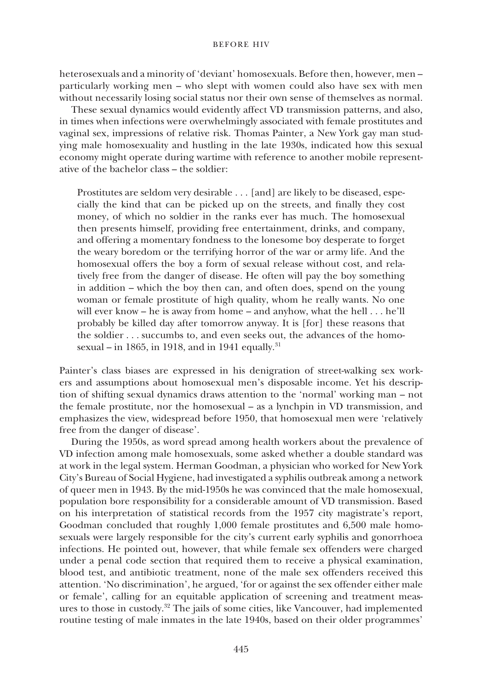heterosexuals and a minority of 'deviant' homosexuals. Before then, however, men – particularly working men – who slept with women could also have sex with men without necessarily losing social status nor their own sense of themselves as normal.

These sexual dynamics would evidently affect VD transmission patterns, and also, in times when infections were overwhelmingly associated with female prostitutes and vaginal sex, impressions of relative risk. Thomas Painter, a New York gay man studying male homosexuality and hustling in the late 1930s, indicated how this sexual economy might operate during wartime with reference to another mobile representative of the bachelor class – the soldier:

Prostitutes are seldom very desirable . . . [and] are likely to be diseased, especially the kind that can be picked up on the streets, and finally they cost money, of which no soldier in the ranks ever has much. The homosexual then presents himself, providing free entertainment, drinks, and company, and offering a momentary fondness to the lonesome boy desperate to forget the weary boredom or the terrifying horror of the war or army life. And the homosexual offers the boy a form of sexual release without cost, and relatively free from the danger of disease. He often will pay the boy something in addition – which the boy then can, and often does, spend on the young woman or female prostitute of high quality, whom he really wants. No one will ever know – he is away from home – and anyhow, what the hell . . . he'll probably be killed day after tomorrow anyway. It is [for] these reasons that the soldier . . . succumbs to, and even seeks out, the advances of the homosexual – in 1865, in 1918, and in 1941 equally. $31$ 

Painter's class biases are expressed in his denigration of street-walking sex workers and assumptions about homosexual men's disposable income. Yet his description of shifting sexual dynamics draws attention to the 'normal' working man – not the female prostitute, nor the homosexual – as a lynchpin in VD transmission, and emphasizes the view, widespread before 1950, that homosexual men were 'relatively free from the danger of disease'.

During the 1950s, as word spread among health workers about the prevalence of VD infection among male homosexuals, some asked whether a double standard was at work in the legal system. Herman Goodman, a physician who worked for New York City's Bureau of Social Hygiene, had investigated a syphilis outbreak among a network of queer men in 1943. By the mid-1950s he was convinced that the male homosexual, population bore responsibility for a considerable amount of VD transmission. Based on his interpretation of statistical records from the 1957 city magistrate's report, Goodman concluded that roughly 1,000 female prostitutes and 6,500 male homosexuals were largely responsible for the city's current early syphilis and gonorrhoea infections. He pointed out, however, that while female sex offenders were charged under a penal code section that required them to receive a physical examination, blood test, and antibiotic treatment, none of the male sex offenders received this attention. 'No discrimination', he argued, 'for or against the sex offender either male or female', calling for an equitable application of screening and treatment measures to those in custody.32 The jails of some cities, like Vancouver, had implemented routine testing of male inmates in the late 1940s, based on their older programmes'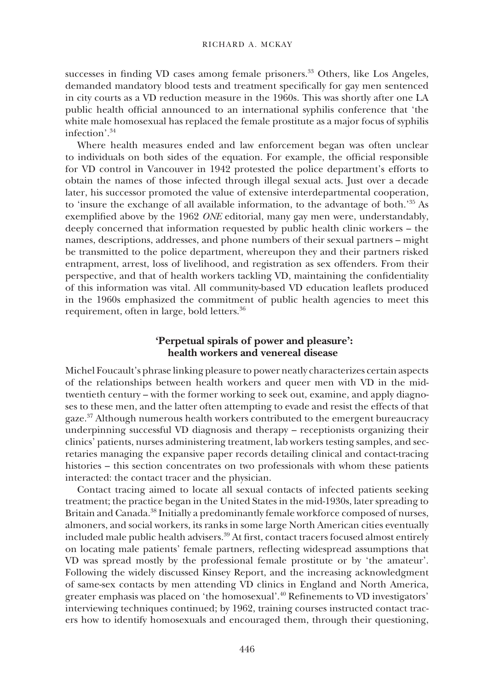successes in finding VD cases among female prisoners.<sup>33</sup> Others, like Los Angeles, demanded mandatory blood tests and treatment specifically for gay men sentenced in city courts as a VD reduction measure in the 1960s. This was shortly after one LA public health official announced to an international syphilis conference that 'the white male homosexual has replaced the female prostitute as a major focus of syphilis infection'.34

Where health measures ended and law enforcement began was often unclear to individuals on both sides of the equation. For example, the official responsible for VD control in Vancouver in 1942 protested the police department's efforts to obtain the names of those infected through illegal sexual acts. Just over a decade later, his successor promoted the value of extensive interdepartmental cooperation, to 'insure the exchange of all available information, to the advantage of both.'35 As exemplified above by the 1962 *ONE* editorial, many gay men were, understandably, deeply concerned that information requested by public health clinic workers – the names, descriptions, addresses, and phone numbers of their sexual partners – might be transmitted to the police department, whereupon they and their partners risked entrapment, arrest, loss of livelihood, and registration as sex offenders. From their perspective, and that of health workers tackling VD, maintaining the confidentiality of this information was vital. All community-based VD education leaflets produced in the 1960s emphasized the commitment of public health agencies to meet this requirement, often in large, bold letters.36

## **'Perpetual spirals of power and pleasure': health workers and venereal disease**

Michel Foucault's phrase linking pleasure to power neatly characterizes certain aspects of the relationships between health workers and queer men with VD in the midtwentieth century – with the former working to seek out, examine, and apply diagnoses to these men, and the latter often attempting to evade and resist the effects of that gaze.<sup>37</sup> Although numerous health workers contributed to the emergent bureaucracy underpinning successful VD diagnosis and therapy – receptionists organizing their clinics' patients, nurses administering treatment, lab workers testing samples, and secretaries managing the expansive paper records detailing clinical and contact-tracing histories – this section concentrates on two professionals with whom these patients interacted: the contact tracer and the physician.

Contact tracing aimed to locate all sexual contacts of infected patients seeking treatment; the practice began in the United States in the mid-1930s, later spreading to Britain and Canada.<sup>38</sup> Initially a predominantly female workforce composed of nurses, almoners, and social workers, its ranks in some large North American cities eventually included male public health advisers.<sup>39</sup> At first, contact tracers focused almost entirely on locating male patients' female partners, reflecting widespread assumptions that VD was spread mostly by the professional female prostitute or by 'the amateur'. Following the widely discussed Kinsey Report, and the increasing acknowledgment of same-sex contacts by men attending VD clinics in England and North America, greater emphasis was placed on 'the homosexual'.40 Refinements to VD investigators' interviewing techniques continued; by 1962, training courses instructed contact tracers how to identify homosexuals and encouraged them, through their questioning,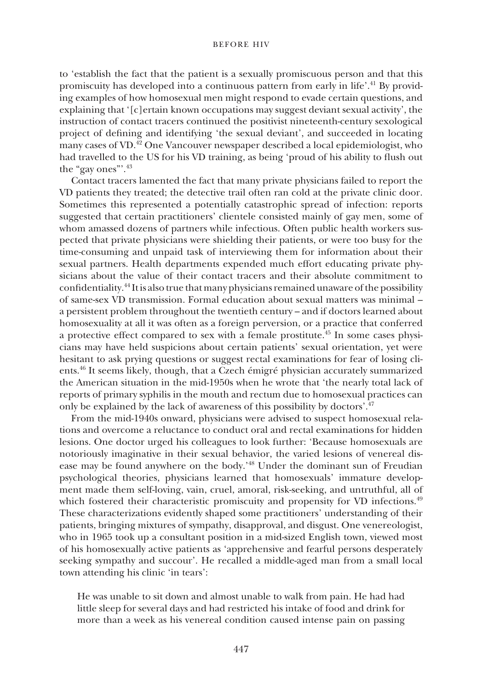to 'establish the fact that the patient is a sexually promiscuous person and that this promiscuity has developed into a continuous pattern from early in life'.41 By providing examples of how homosexual men might respond to evade certain questions, and explaining that '[c]ertain known occupations may suggest deviant sexual activity', the instruction of contact tracers continued the positivist nineteenth-century sexological project of defining and identifying 'the sexual deviant', and succeeded in locating many cases of VD.42 One Vancouver newspaper described a local epidemiologist, who had travelled to the US for his VD training, as being 'proud of his ability to flush out the "gay ones".<sup>43</sup>

Contact tracers lamented the fact that many private physicians failed to report the VD patients they treated; the detective trail often ran cold at the private clinic door. Sometimes this represented a potentially catastrophic spread of infection: reports suggested that certain practitioners' clientele consisted mainly of gay men, some of whom amassed dozens of partners while infectious. Often public health workers suspected that private physicians were shielding their patients, or were too busy for the time-consuming and unpaid task of interviewing them for information about their sexual partners. Health departments expended much effort educating private physicians about the value of their contact tracers and their absolute commitment to confidentiality.44 It is also true that many physicians remained unaware of the possibility of same-sex VD transmission. Formal education about sexual matters was minimal – a persistent problem throughout the twentieth century – and if doctors learned about homosexuality at all it was often as a foreign perversion, or a practice that conferred a protective effect compared to sex with a female prostitute.45 In some cases physicians may have held suspicions about certain patients' sexual orientation, yet were hesitant to ask prying questions or suggest rectal examinations for fear of losing clients.46 It seems likely, though, that a Czech émigré physician accurately summarized the American situation in the mid-1950s when he wrote that 'the nearly total lack of reports of primary syphilis in the mouth and rectum due to homosexual practices can only be explained by the lack of awareness of this possibility by doctors'.47

From the mid-1940s onward, physicians were advised to suspect homosexual relations and overcome a reluctance to conduct oral and rectal examinations for hidden lesions. One doctor urged his colleagues to look further: 'Because homosexuals are notoriously imaginative in their sexual behavior, the varied lesions of venereal disease may be found anywhere on the body.'48 Under the dominant sun of Freudian psychological theories, physicians learned that homosexuals' immature development made them self-loving, vain, cruel, amoral, risk-seeking, and untruthful, all of which fostered their characteristic promiscuity and propensity for VD infections.<sup>49</sup> These characterizations evidently shaped some practitioners' understanding of their patients, bringing mixtures of sympathy, disapproval, and disgust. One venereologist, who in 1965 took up a consultant position in a mid-sized English town, viewed most of his homosexually active patients as 'apprehensive and fearful persons desperately seeking sympathy and succour'. He recalled a middle-aged man from a small local town attending his clinic 'in tears':

He was unable to sit down and almost unable to walk from pain. He had had little sleep for several days and had restricted his intake of food and drink for more than a week as his venereal condition caused intense pain on passing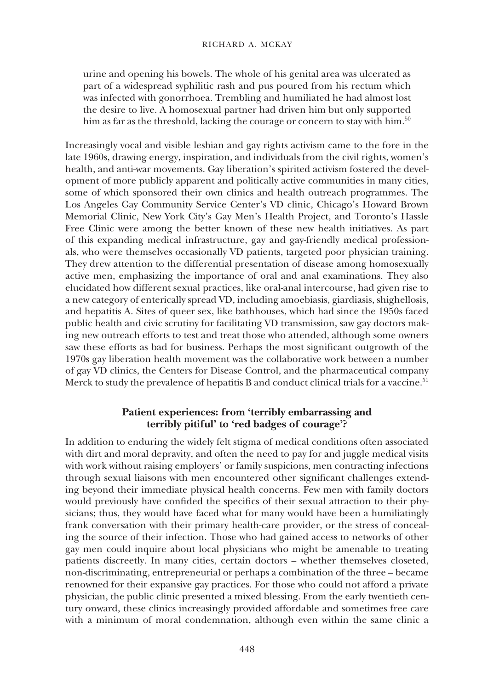urine and opening his bowels. The whole of his genital area was ulcerated as part of a widespread syphilitic rash and pus poured from his rectum which was infected with gonorrhoea. Trembling and humiliated he had almost lost the desire to live. A homosexual partner had driven him but only supported him as far as the threshold, lacking the courage or concern to stay with him.<sup>50</sup>

Increasingly vocal and visible lesbian and gay rights activism came to the fore in the late 1960s, drawing energy, inspiration, and individuals from the civil rights, women's health, and anti-war movements. Gay liberation's spirited activism fostered the development of more publicly apparent and politically active communities in many cities, some of which sponsored their own clinics and health outreach programmes. The Los Angeles Gay Community Service Center's VD clinic, Chicago's Howard Brown Memorial Clinic, New York City's Gay Men's Health Project, and Toronto's Hassle Free Clinic were among the better known of these new health initiatives. As part of this expanding medical infrastructure, gay and gay-friendly medical professionals, who were themselves occasionally VD patients, targeted poor physician training. They drew attention to the differential presentation of disease among homosexually active men, emphasizing the importance of oral and anal examinations. They also elucidated how different sexual practices, like oral-anal intercourse, had given rise to a new category of enterically spread VD, including amoebiasis, giardiasis, shighellosis, and hepatitis A. Sites of queer sex, like bathhouses, which had since the 1950s faced public health and civic scrutiny for facilitating VD transmission, saw gay doctors making new outreach efforts to test and treat those who attended, although some owners saw these efforts as bad for business. Perhaps the most significant outgrowth of the 1970s gay liberation health movement was the collaborative work between a number of gay VD clinics, the Centers for Disease Control, and the pharmaceutical company Merck to study the prevalence of hepatitis B and conduct clinical trials for a vaccine.<sup>51</sup>

# **Patient experiences: from 'terribly embarrassing and terribly pitiful' to 'red badges of courage'?**

In addition to enduring the widely felt stigma of medical conditions often associated with dirt and moral depravity, and often the need to pay for and juggle medical visits with work without raising employers' or family suspicions, men contracting infections through sexual liaisons with men encountered other significant challenges extending beyond their immediate physical health concerns. Few men with family doctors would previously have confided the specifics of their sexual attraction to their physicians; thus, they would have faced what for many would have been a humiliatingly frank conversation with their primary health-care provider, or the stress of concealing the source of their infection. Those who had gained access to networks of other gay men could inquire about local physicians who might be amenable to treating patients discreetly. In many cities, certain doctors – whether themselves closeted, non-discriminating, entrepreneurial or perhaps a combination of the three – became renowned for their expansive gay practices. For those who could not afford a private physician, the public clinic presented a mixed blessing. From the early twentieth century onward, these clinics increasingly provided affordable and sometimes free care with a minimum of moral condemnation, although even within the same clinic a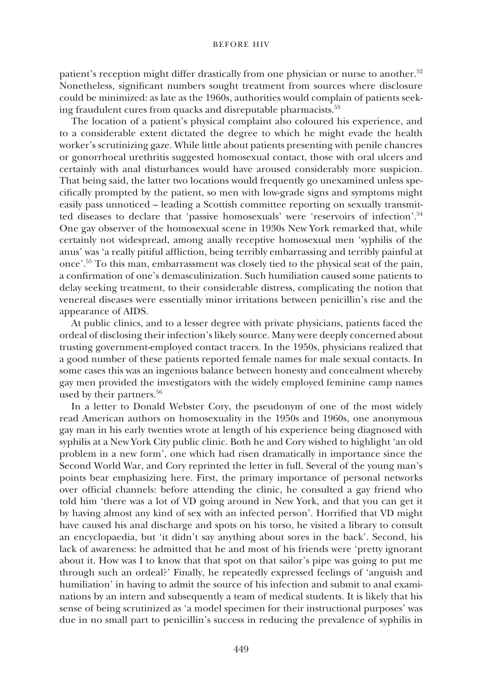patient's reception might differ drastically from one physician or nurse to another.<sup>52</sup> Nonetheless, significant numbers sought treatment from sources where disclosure could be minimized: as late as the 1960s, authorities would complain of patients seeking fraudulent cures from quacks and disreputable pharmacists.<sup>53</sup>

The location of a patient's physical complaint also coloured his experience, and to a considerable extent dictated the degree to which he might evade the health worker's scrutinizing gaze. While little about patients presenting with penile chancres or gonorrhoeal urethritis suggested homosexual contact, those with oral ulcers and certainly with anal disturbances would have aroused considerably more suspicion. That being said, the latter two locations would frequently go unexamined unless specifically prompted by the patient, so men with low-grade signs and symptoms might easily pass unnoticed – leading a Scottish committee reporting on sexually transmitted diseases to declare that 'passive homosexuals' were 'reservoirs of infection'.54 One gay observer of the homosexual scene in 1930s New York remarked that, while certainly not widespread, among anally receptive homosexual men 'syphilis of the anus' was 'a really pitiful affliction, being terribly embarrassing and terribly painful at once'.55 To this man, embarrassment was closely tied to the physical seat of the pain, a confirmation of one's demasculinization. Such humiliation caused some patients to delay seeking treatment, to their considerable distress, complicating the notion that venereal diseases were essentially minor irritations between penicillin's rise and the appearance of AIDS.

At public clinics, and to a lesser degree with private physicians, patients faced the ordeal of disclosing their infection's likely source. Many were deeply concerned about trusting government-employed contact tracers. In the 1950s, physicians realized that a good number of these patients reported female names for male sexual contacts. In some cases this was an ingenious balance between honesty and concealment whereby gay men provided the investigators with the widely employed feminine camp names used by their partners.<sup>56</sup>

In a letter to Donald Webster Cory, the pseudonym of one of the most widely read American authors on homosexuality in the 1950s and 1960s, one anonymous gay man in his early twenties wrote at length of his experience being diagnosed with syphilis at a New York City public clinic. Both he and Cory wished to highlight 'an old problem in a new form', one which had risen dramatically in importance since the Second World War, and Cory reprinted the letter in full. Several of the young man's points bear emphasizing here. First, the primary importance of personal networks over official channels: before attending the clinic, he consulted a gay friend who told him 'there was a lot of VD going around in New York, and that you can get it by having almost any kind of sex with an infected person'. Horrified that VD might have caused his anal discharge and spots on his torso, he visited a library to consult an encyclopaedia, but 'it didn't say anything about sores in the back'. Second, his lack of awareness: he admitted that he and most of his friends were 'pretty ignorant about it. How was I to know that that spot on that sailor's pipe was going to put me through such an ordeal?' Finally, he repeatedly expressed feelings of 'anguish and humiliation' in having to admit the source of his infection and submit to anal examinations by an intern and subsequently a team of medical students. It is likely that his sense of being scrutinized as 'a model specimen for their instructional purposes' was due in no small part to penicillin's success in reducing the prevalence of syphilis in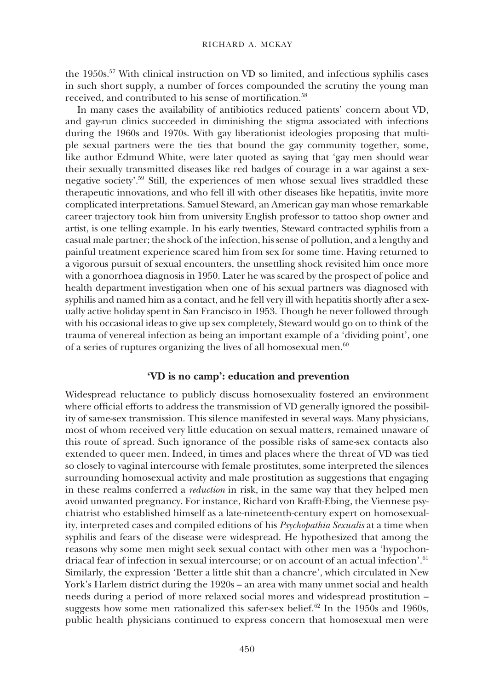the  $1950s$ <sup>57</sup> With clinical instruction on VD so limited, and infectious syphilis cases in such short supply, a number of forces compounded the scrutiny the young man received, and contributed to his sense of mortification.<sup>58</sup>

In many cases the availability of antibiotics reduced patients' concern about VD, and gay-run clinics succeeded in diminishing the stigma associated with infections during the 1960s and 1970s. With gay liberationist ideologies proposing that multiple sexual partners were the ties that bound the gay community together, some, like author Edmund White, were later quoted as saying that 'gay men should wear their sexually transmitted diseases like red badges of courage in a war against a sexnegative society'.59 Still, the experiences of men whose sexual lives straddled these therapeutic innovations, and who fell ill with other diseases like hepatitis, invite more complicated interpretations. Samuel Steward, an American gay man whose remarkable career trajectory took him from university English professor to tattoo shop owner and artist, is one telling example. In his early twenties, Steward contracted syphilis from a casual male partner; the shock of the infection, his sense of pollution, and a lengthy and painful treatment experience scared him from sex for some time. Having returned to a vigorous pursuit of sexual encounters, the unsettling shock revisited him once more with a gonorrhoea diagnosis in 1950. Later he was scared by the prospect of police and health department investigation when one of his sexual partners was diagnosed with syphilis and named him as a contact, and he fell very ill with hepatitis shortly after a sexually active holiday spent in San Francisco in 1953. Though he never followed through with his occasional ideas to give up sex completely, Steward would go on to think of the trauma of venereal infection as being an important example of a 'dividing point', one of a series of ruptures organizing the lives of all homosexual men. $60$ 

# **'VD is no camp': education and prevention**

Widespread reluctance to publicly discuss homosexuality fostered an environment where official efforts to address the transmission of VD generally ignored the possibility of same-sex transmission. This silence manifested in several ways. Many physicians, most of whom received very little education on sexual matters, remained unaware of this route of spread. Such ignorance of the possible risks of same-sex contacts also extended to queer men. Indeed, in times and places where the threat of VD was tied so closely to vaginal intercourse with female prostitutes, some interpreted the silences surrounding homosexual activity and male prostitution as suggestions that engaging in these realms conferred a *reduction* in risk, in the same way that they helped men avoid unwanted pregnancy. For instance, Richard von Krafft-Ebing, the Viennese psychiatrist who established himself as a late-nineteenth-century expert on homosexuality, interpreted cases and compiled editions of his *Psychopathia Sexualis* at a time when syphilis and fears of the disease were widespread. He hypothesized that among the reasons why some men might seek sexual contact with other men was a 'hypochondriacal fear of infection in sexual intercourse; or on account of an actual infection'.<sup>61</sup> Similarly, the expression 'Better a little shit than a chancre', which circulated in New York's Harlem district during the 1920s – an area with many unmet social and health needs during a period of more relaxed social mores and widespread prostitution – suggests how some men rationalized this safer-sex belief. $62$  In the 1950s and 1960s, public health physicians continued to express concern that homosexual men were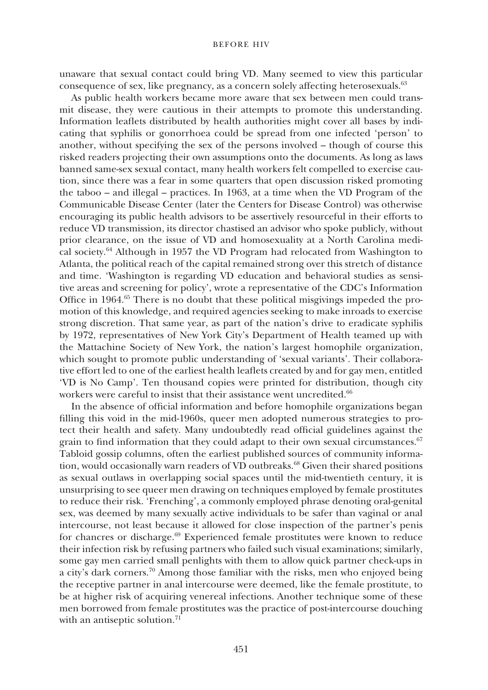unaware that sexual contact could bring VD. Many seemed to view this particular consequence of sex, like pregnancy, as a concern solely affecting heterosexuals.<sup>63</sup>

As public health workers became more aware that sex between men could transmit disease, they were cautious in their attempts to promote this understanding. Information leaflets distributed by health authorities might cover all bases by indicating that syphilis or gonorrhoea could be spread from one infected 'person' to another, without specifying the sex of the persons involved – though of course this risked readers projecting their own assumptions onto the documents. As long as laws banned same-sex sexual contact, many health workers felt compelled to exercise caution, since there was a fear in some quarters that open discussion risked promoting the taboo – and illegal – practices. In 1963, at a time when the VD Program of the Communicable Disease Center (later the Centers for Disease Control) was otherwise encouraging its public health advisors to be assertively resourceful in their efforts to reduce VD transmission, its director chastised an advisor who spoke publicly, without prior clearance, on the issue of VD and homosexuality at a North Carolina medical society.64 Although in 1957 the VD Program had relocated from Washington to Atlanta, the political reach of the capital remained strong over this stretch of distance and time. 'Washington is regarding VD education and behavioral studies as sensitive areas and screening for policy', wrote a representative of the CDC's Information Office in 1964.65 There is no doubt that these political misgivings impeded the promotion of this knowledge, and required agencies seeking to make inroads to exercise strong discretion. That same year, as part of the nation's drive to eradicate syphilis by 1972, representatives of New York City's Department of Health teamed up with the Mattachine Society of New York, the nation's largest homophile organization, which sought to promote public understanding of 'sexual variants'. Their collaborative effort led to one of the earliest health leaflets created by and for gay men, entitled 'VD is No Camp'. Ten thousand copies were printed for distribution, though city workers were careful to insist that their assistance went uncredited.<sup>66</sup>

In the absence of official information and before homophile organizations began filling this void in the mid-1960s, queer men adopted numerous strategies to protect their health and safety. Many undoubtedly read official guidelines against the grain to find information that they could adapt to their own sexual circumstances.<sup>67</sup> Tabloid gossip columns, often the earliest published sources of community information, would occasionally warn readers of VD outbreaks.<sup>68</sup> Given their shared positions as sexual outlaws in overlapping social spaces until the mid-twentieth century, it is unsurprising to see queer men drawing on techniques employed by female prostitutes to reduce their risk. 'Frenching', a commonly employed phrase denoting oral-genital sex, was deemed by many sexually active individuals to be safer than vaginal or anal intercourse, not least because it allowed for close inspection of the partner's penis for chancres or discharge.<sup>69</sup> Experienced female prostitutes were known to reduce their infection risk by refusing partners who failed such visual examinations; similarly, some gay men carried small penlights with them to allow quick partner check-ups in a city's dark corners.70 Among those familiar with the risks, men who enjoyed being the receptive partner in anal intercourse were deemed, like the female prostitute, to be at higher risk of acquiring venereal infections. Another technique some of these men borrowed from female prostitutes was the practice of post-intercourse douching with an antiseptic solution.<sup>71</sup>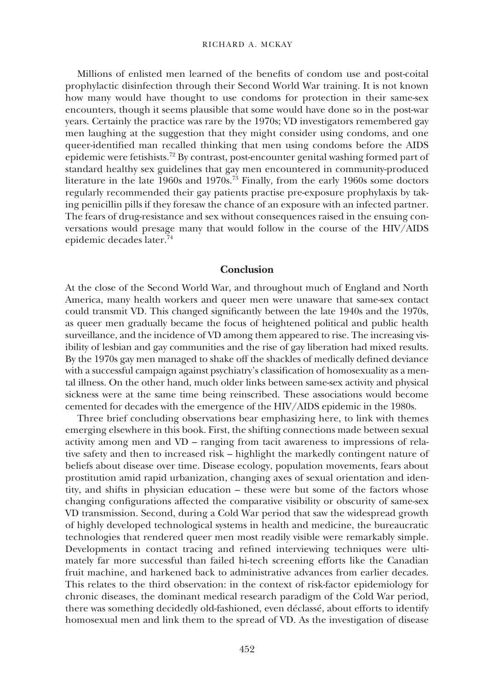Millions of enlisted men learned of the benefits of condom use and post-coital prophylactic disinfection through their Second World War training. It is not known how many would have thought to use condoms for protection in their same-sex encounters, though it seems plausible that some would have done so in the post-war years. Certainly the practice was rare by the 1970s; VD investigators remembered gay men laughing at the suggestion that they might consider using condoms, and one queer-identified man recalled thinking that men using condoms before the AIDS epidemic were fetishists.72 By contrast, post-encounter genital washing formed part of standard healthy sex guidelines that gay men encountered in community-produced literature in the late 1960s and 1970s.73 Finally, from the early 1960s some doctors regularly recommended their gay patients practise pre-exposure prophylaxis by taking penicillin pills if they foresaw the chance of an exposure with an infected partner. The fears of drug-resistance and sex without consequences raised in the ensuing conversations would presage many that would follow in the course of the HIV/AIDS epidemic decades later.74

## **Conclusion**

At the close of the Second World War, and throughout much of England and North America, many health workers and queer men were unaware that same-sex contact could transmit VD. This changed significantly between the late 1940s and the 1970s, as queer men gradually became the focus of heightened political and public health surveillance, and the incidence of VD among them appeared to rise. The increasing visibility of lesbian and gay communities and the rise of gay liberation had mixed results. By the 1970s gay men managed to shake off the shackles of medically defined deviance with a successful campaign against psychiatry's classification of homosexuality as a mental illness. On the other hand, much older links between same-sex activity and physical sickness were at the same time being reinscribed. These associations would become cemented for decades with the emergence of the HIV/AIDS epidemic in the 1980s.

Three brief concluding observations bear emphasizing here, to link with themes emerging elsewhere in this book. First, the shifting connections made between sexual activity among men and VD – ranging from tacit awareness to impressions of relative safety and then to increased risk – highlight the markedly contingent nature of beliefs about disease over time. Disease ecology, population movements, fears about prostitution amid rapid urbanization, changing axes of sexual orientation and identity, and shifts in physician education – these were but some of the factors whose changing configurations affected the comparative visibility or obscurity of same-sex VD transmission. Second, during a Cold War period that saw the widespread growth of highly developed technological systems in health and medicine, the bureaucratic technologies that rendered queer men most readily visible were remarkably simple. Developments in contact tracing and refined interviewing techniques were ultimately far more successful than failed hi-tech screening efforts like the Canadian fruit machine, and harkened back to administrative advances from earlier decades. This relates to the third observation: in the context of risk-factor epidemiology for chronic diseases, the dominant medical research paradigm of the Cold War period, there was something decidedly old-fashioned, even déclassé, about efforts to identify homosexual men and link them to the spread of VD. As the investigation of disease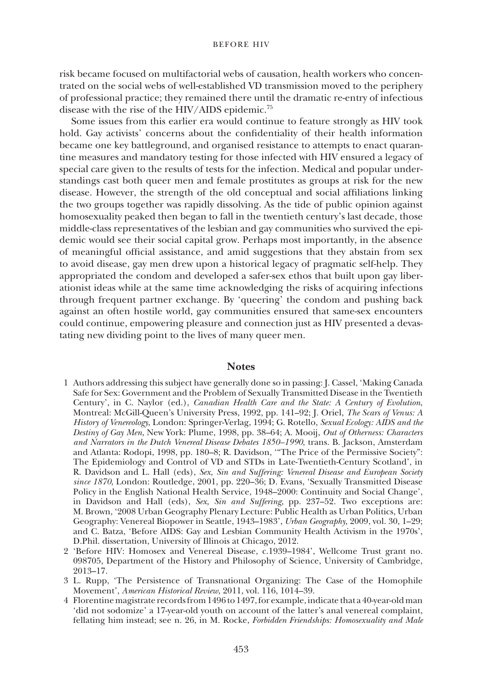risk became focused on multifactorial webs of causation, health workers who concentrated on the social webs of well-established VD transmission moved to the periphery of professional practice; they remained there until the dramatic re-entry of infectious disease with the rise of the HIV/AIDS epidemic.75

Some issues from this earlier era would continue to feature strongly as HIV took hold. Gay activists' concerns about the confidentiality of their health information became one key battleground, and organised resistance to attempts to enact quarantine measures and mandatory testing for those infected with HIV ensured a legacy of special care given to the results of tests for the infection. Medical and popular understandings cast both queer men and female prostitutes as groups at risk for the new disease. However, the strength of the old conceptual and social affiliations linking the two groups together was rapidly dissolving. As the tide of public opinion against homosexuality peaked then began to fall in the twentieth century's last decade, those middle-class representatives of the lesbian and gay communities who survived the epidemic would see their social capital grow. Perhaps most importantly, in the absence of meaningful official assistance, and amid suggestions that they abstain from sex to avoid disease, gay men drew upon a historical legacy of pragmatic self-help. They appropriated the condom and developed a safer-sex ethos that built upon gay liberationist ideas while at the same time acknowledging the risks of acquiring infections through frequent partner exchange. By 'queering' the condom and pushing back against an often hostile world, gay communities ensured that same-sex encounters could continue, empowering pleasure and connection just as HIV presented a devastating new dividing point to the lives of many queer men.

#### **Notes**

- 1 Authors addressing this subject have generally done so in passing: J. Cassel, 'Making Canada Safe for Sex: Government and the Problem of Sexually Transmitted Disease in the Twentieth Century', in C. Naylor (ed.), *Canadian Health Care and the State: A Century of Evolution*, Montreal: McGill-Queen's University Press, 1992, pp. 141–92; J. Oriel, *The Scars of Venus: A History of Venereology*, London: Springer-Verlag, 1994; G. Rotello, *Sexual Ecology: AIDS and the Destiny of Gay Men*, New York: Plume, 1998, pp. 38–64; A. Mooij, *Out of Otherness: Characters and Narrators in the Dutch Venereal Disease Debates 1850–1990*, trans. B. Jackson, Amsterdam and Atlanta: Rodopi, 1998, pp. 180–8; R. Davidson, '"The Price of the Permissive Society": The Epidemiology and Control of VD and STDs in Late-Twentieth-Century Scotland', in R. Davidson and L. Hall (eds), *Sex, Sin and Suffering: Venereal Disease and European Society since 1870*, London: Routledge, 2001, pp. 220–36; D. Evans, 'Sexually Transmitted Disease Policy in the English National Health Service, 1948–2000: Continuity and Social Change', in Davidson and Hall (eds), *Sex, Sin and Suffering*, pp. 237–52. Two exceptions are: M. Brown, '2008 Urban Geography Plenary Lecture: Public Health as Urban Politics, Urban Geography: Venereal Biopower in Seattle, 1943–1983', *Urban Geography*, 2009, vol. 30, 1–29; and C. Batza, 'Before AIDS: Gay and Lesbian Community Health Activism in the 1970s', D.Phil. dissertation, University of Illinois at Chicago, 2012.
- 2 'Before HIV: Homosex and Venereal Disease, c.1939–1984', Wellcome Trust grant no. 098705, Department of the History and Philosophy of Science, University of Cambridge, 2013–17.
- 3 L. Rupp, 'The Persistence of Transnational Organizing: The Case of the Homophile Movement', *American Historical Review*, 2011, vol. 116, 1014–39.
- 4 Florentine magistrate records from 1496 to 1497, for example, indicate that a 40-year-old man 'did not sodomize' a 17-year-old youth on account of the latter's anal venereal complaint, fellating him instead; see n. 26, in M. Rocke, *Forbidden Friendships: Homosexuality and Male*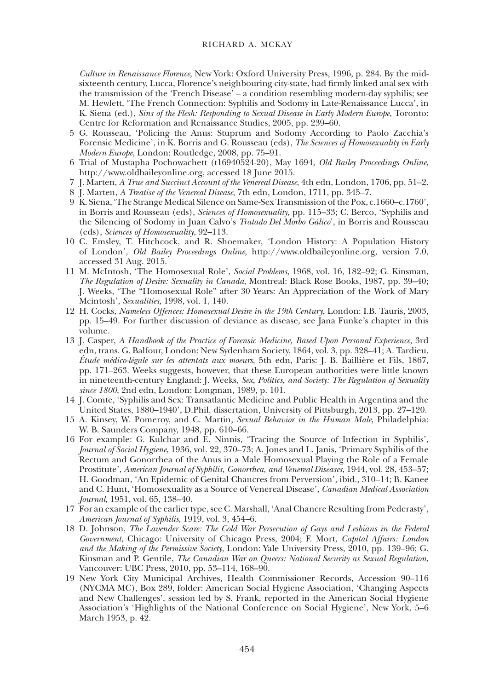*Culture in Renaissance Florence*, New York: Oxford University Press, 1996, p. 284. By the midsixteenth century, Lucca, Florence's neighbouring city-state, had firmly linked anal sex with the transmission of the 'French Disease' – a condition resembling modern-day syphilis; see M. Hewlett, 'The French Connection: Syphilis and Sodomy in Late-Renaissance Lucca', in K. Siena (ed.), *Sins of the Flesh: Responding to Sexual Disease in Early Modern Europe*, Toronto: Centre for Reformation and Renaissance Studies, 2005, pp. 239–60.

- 5 G. Rousseau, 'Policing the Anus: Stuprum and Sodomy According to Paolo Zacchia's Forensic Medicine', in K. Borris and G. Rousseau (eds), *The Sciences of Homosexuality in Early Modern Europe*, London: Routledge, 2008, pp. 75–91.
- 6 Trial of Mustapha Pochowachett (t16940524-20), May 1694, *Old Bailey Proceedings Online*, http://www.oldbaileyonline.org, accessed 18 June 2015.
- 7 J. Marten, *A True and Succinct Account of the Venereal Disease*, 4th edn, London, 1706, pp. 51–2.
- 8 J. Marten, *A Treatise of the Venereal Disease*, 7th edn, London, 1711, pp. 345–7.
- 9 K. Siena, 'The Strange Medical Silence on Same-Sex Transmission of the Pox, c.1660–c.1760', in Borris and Rousseau (eds), *Sciences of Homosexuality*, pp. 115–33; C. Berco, 'Syphilis and the Silencing of Sodomy in Juan Calvo's *Tratado Del Morbo Gálico*', in Borris and Rousseau (eds), *Sciences of Homosexuality*, 92–113.
- 10 C. Emsley, T. Hitchcock, and R. Shoemaker, 'London History: A Population History of London', *Old Bailey Proceedings Online*, http://www.oldbaileyonline.org, version 7.0, accessed 31 Aug. 2015.
- 11 M. McIntosh, 'The Homosexual Role', *Social Problems*, 1968, vol. 16, 182–92; G. Kinsman, *The Regulation of Desire: Sexuality in Canada*, Montreal: Black Rose Books, 1987, pp. 39–40; J. Weeks, 'The "Homosexual Role" after 30 Years: An Appreciation of the Work of Mary Mcintosh', *Sexualities*, 1998, vol. 1, 140.
- 12 H. Cocks, *Nameless Offences: Homosexual Desire in the 19th Century*, London: I.B. Tauris, 2003, pp. 15–49. For further discussion of deviance as disease, see Jana Funke's chapter in this volume.
- 13 J. Casper, *A Handbook of the Practice of Forensic Medicine, Based Upon Personal Experience*, 3rd edn, trans. G. Balfour, London: New Sydenham Society, 1864, vol. 3, pp. 328–41; A. Tardieu, *Étude médico-légale sur les attentats aux moeurs*, 5th edn, Paris: J. B. Baillière et Fils, 1867, pp. 171–263. Weeks suggests, however, that these European authorities were little known in nineteenth-century England: J. Weeks, *Sex, Politics, and Society: The Regulation of Sexuality since 1800*, 2nd edn, London: Longman, 1989, p. 101.
- 14 J. Comte, 'Syphilis and Sex: Transatlantic Medicine and Public Health in Argentina and the United States, 1880–1940', D.Phil. dissertation, University of Pittsburgh, 2013, pp. 27–120.
- 15 A. Kinsey, W. Pomeroy, and C. Martin, *Sexual Behavior in the Human Male*, Philadelphia: W. B. Saunders Company, 1948, pp. 610–66.
- 16 For example: G. Kulchar and E. Ninnis, 'Tracing the Source of Infection in Syphilis', *Journal of Social Hygiene*, 1936, vol. 22, 370–73; A. Jones and L. Janis, 'Primary Syphilis of the Rectum and Gonorrhea of the Anus in a Male Homosexual Playing the Role of a Female Prostitute', *American Journal of Syphilis, Gonorrhea, and Venereal Diseases*, 1944, vol. 28, 453–57; H. Goodman, 'An Epidemic of Genital Chancres from Perversion', ibid., 310–14; B. Kanee and C. Hunt, 'Homosexuality as a Source of Venereal Disease', *Canadian Medical Association Journal*, 1951, vol. 65, 138–40.
- 17 For an example of the earlier type, see C. Marshall, 'Anal Chancre Resulting from Pederasty', *American Journal of Syphilis*, 1919, vol. 3, 454–6.
- 18 D. Johnson, *The Lavender Scare: The Cold War Persecution of Gays and Lesbians in the Federal Government*, Chicago: University of Chicago Press, 2004; F. Mort, *Capital Affairs: London and the Making of the Permissive Society*, London: Yale University Press, 2010, pp. 139–96; G. Kinsman and P. Gentile, *The Canadian War on Queers: National Security as Sexual Regulation*, Vancouver: UBC Press, 2010, pp. 53–114, 168–90.
- 19 New York City Municipal Archives, Health Commissioner Records, Accession 90–116 (NYCMA MC), Box 289, folder: American Social Hygiene Association, 'Changing Aspects and New Challenges', session led by S. Frank, reported in the American Social Hygiene Association's 'Highlights of the National Conference on Social Hygiene', New York, 5–6 March 1953, p. 42.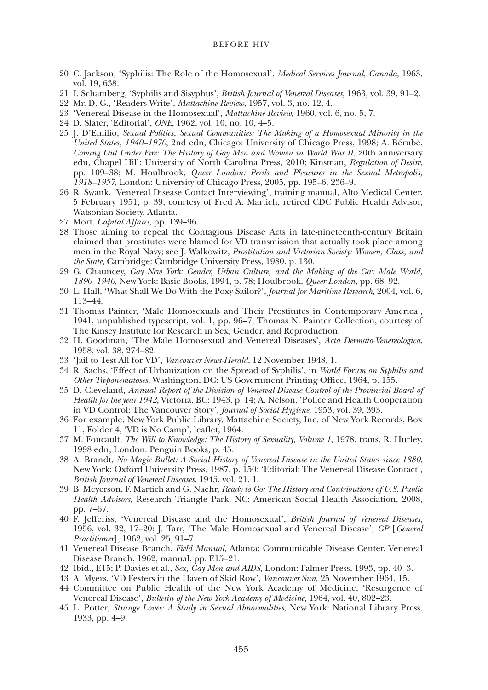- 20 C. Jackson, 'Syphilis: The Role of the Homosexual', *Medical Services Journal, Canada*, 1963, vol. 19, 638.
- 21 I. Schamberg, 'Syphilis and Sisyphus', *British Journal of Venereal Diseases*, 1963, vol. 39, 91–2.
- 22 Mr. D. G., 'Readers Write', *Mattachine Review*, 1957, vol. 3, no. 12, 4.
- 23 'Venereal Disease in the Homosexual', *Mattachine Review*, 1960, vol. 6, no. 5, 7.
- 24 D. Slater, 'Editorial', *ONE*, 1962, vol. 10, no. 10, 4–5.
- 25 J. D'Emilio, *Sexual Politics, Sexual Communities: The Making of a Homosexual Minority in the United States, 1940–1970*, 2nd edn, Chicago: University of Chicago Press, 1998; A. Bérubé, *Coming Out Under Fire: The History of Gay Men and Women in World War II*, 20th anniversary edn, Chapel Hill: University of North Carolina Press, 2010; Kinsman, *Regulation of Desire*, pp. 109–38; M. Houlbrook, *Queer London: Perils and Pleasures in the Sexual Metropolis, 1918–1957*, London: University of Chicago Press, 2005, pp. 195–6, 236–9.
- 26 R. Swank, 'Venereal Disease Contact Interviewing', training manual, Alto Medical Center, 5 February 1951, p. 39, courtesy of Fred A. Martich, retired CDC Public Health Advisor, Watsonian Society, Atlanta.
- 27 Mort, *Capital Affairs*, pp. 139–96.
- 28 Those aiming to repeal the Contagious Disease Acts in late-nineteenth-century Britain claimed that prostitutes were blamed for VD transmission that actually took place among men in the Royal Navy; see J. Walkowitz, *Prostitution and Victorian Society: Women, Class, and the State*, Cambridge: Cambridge University Press, 1980, p. 130.
- 29 G. Chauncey, *Gay New York: Gender, Urban Culture, and the Making of the Gay Male World, 1890–1940*, New York: Basic Books, 1994, p. 78; Houlbrook, *Queer London*, pp. 68–92.
- 30 L. Hall, 'What Shall We Do With the Poxy Sailor?', *Journal for Maritime Research*, 2004, vol. 6, 113–44.
- 31 Thomas Painter, 'Male Homosexuals and Their Prostitutes in Contemporary America', 1941, unpublished typescript, vol. 1, pp. 96–7, Thomas N. Painter Collection, courtesy of The Kinsey Institute for Research in Sex, Gender, and Reproduction.
- 32 H. Goodman, 'The Male Homosexual and Venereal Diseases', *Acta Dermato-Venereologica*, 1958, vol. 38, 274–82.
- 33 'Jail to Test All for VD', *Vancouver News-Herald*, 12 November 1948, 1.
- 34 R. Sachs, 'Effect of Urbanization on the Spread of Syphilis', in *World Forum on Syphilis and Other Treponematoses*, Washington, DC: US Government Printing Office, 1964, p. 155.
- 35 D. Cleveland, *Annual Report of the Division of Venereal Disease Control of the Provincial Board of Health for the year 1942*, Victoria, BC: 1943, p. 14; A. Nelson, 'Police and Health Cooperation in VD Control: The Vancouver Story', *Journal of Social Hygiene*, 1953, vol. 39, 393.
- 36 For example, New York Public Library, Mattachine Society, Inc. of New York Records, Box 11, Folder 4, 'VD is No Camp', leaflet, 1964.
- 37 M. Foucault, *The Will to Knowledge: The History of Sexuality, Volume 1*, 1978, trans. R. Hurley, 1998 edn, London: Penguin Books, p. 45.
- 38 A. Brandt, *No Magic Bullet: A Social History of Venereal Disease in the United States since 1880*, New York: Oxford University Press, 1987, p. 150; 'Editorial: The Venereal Disease Contact', *British Journal of Venereal Diseases*, 1945, vol. 21, 1.
- 39 B. Meyerson, F. Martich and G. Naehr, *Ready to Go: The History and Contributions of U.S. Public Health Advisors*, Research Triangle Park, NC: American Social Health Association, 2008, pp. 7–67.
- 40 F. Jefferiss, 'Venereal Disease and the Homosexual', *British Journal of Venereal Diseases*, 1956, vol. 32, 17–20; J. Tarr, 'The Male Homosexual and Venereal Disease', *GP* [*General Practitioner*], 1962, vol. 25, 91–7.
- 41 Venereal Disease Branch, *Field Manual*, Atlanta: Communicable Disease Center, Venereal Disease Branch, 1962, manual, pp. E15–21.
- 42 Ibid., E15; P. Davies et al., *Sex, Gay Men and AIDS*, London: Falmer Press, 1993, pp. 40–3.
- 43 A. Myers, 'VD Festers in the Haven of Skid Row', *Vancouver Sun*, 25 November 1964, 15.
- 44 Committee on Public Health of the New York Academy of Medicine, 'Resurgence of Venereal Disease', *Bulletin of the New York Academy of Medicine*, 1964, vol. 40, 802–23.
- 45 L. Potter, *Strange Loves: A Study in Sexual Abnormalities*, New York: National Library Press, 1933, pp. 4–9.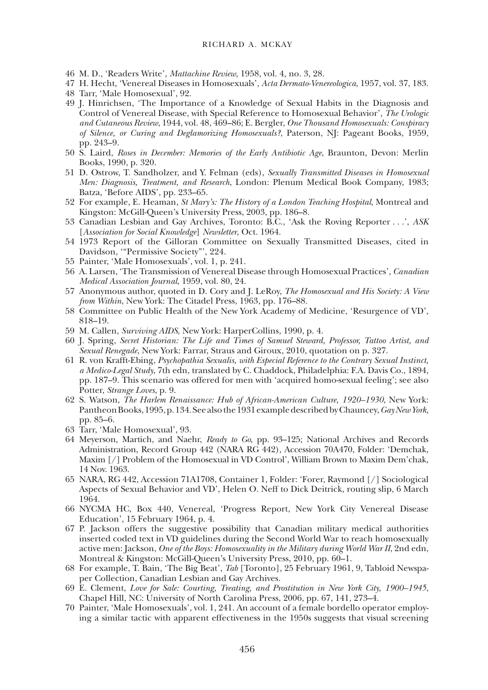- 46 M. D., 'Readers Write', *Mattachine Review*, 1958, vol. 4, no. 3, 28.
- 47 H. Hecht, 'Venereal Diseases in Homosexuals', *Acta Dermato-Venereologica*, 1957, vol. 37, 183. 48 Tarr, 'Male Homosexual', 92.
- 49 J. Hinrichsen, 'The Importance of a Knowledge of Sexual Habits in the Diagnosis and Control of Venereal Disease, with Special Reference to Homosexual Behavior', *The Urologic and Cutaneous Review*, 1944, vol. 48, 469–86; E. Bergler, *One Thousand Homosexuals: Conspiracy of Silence, or Curing and Deglamorizing Homosexuals?*, Paterson, NJ: Pageant Books, 1959, pp. 243–9.
- 50 S. Laird, *Roses in December: Memories of the Early Antibiotic Age*, Braunton, Devon: Merlin Books, 1990, p. 320.
- 51 D. Ostrow, T. Sandholzer, and Y. Felman (eds), *Sexually Transmitted Diseases in Homosexual Men: Diagnosis, Treatment, and Research*, London: Plenum Medical Book Company, 1983; Batza, 'Before AIDS', pp. 233–65.
- 52 For example, E. Heaman, *St Mary's: The History of a London Teaching Hospital*, Montreal and Kingston: McGill-Queen's University Press, 2003, pp. 186–8.
- 53 Canadian Lesbian and Gay Archives, Toronto: B.C., 'Ask the Roving Reporter . . .', *ASK*  [*Association for Social Knowledge*] *Newsletter*, Oct. 1964.
- 54 1973 Report of the Gilloran Committee on Sexually Transmitted Diseases, cited in Davidson, '"Permissive Society"', 224.
- 55 Painter, 'Male Homosexuals', vol. 1, p. 241.
- 56 A. Larsen, 'The Transmission of Venereal Disease through Homosexual Practices', *Canadian Medical Association Journal*, 1959, vol. 80, 24.
- 57 Anonymous author, quoted in D. Cory and J. LeRoy, *The Homosexual and His Society: A View from Within*, New York: The Citadel Press, 1963, pp. 176–88.
- 58 Committee on Public Health of the New York Academy of Medicine, 'Resurgence of VD', 818–19.
- 59 M. Callen, *Surviving AIDS*, New York: HarperCollins, 1990, p. 4.
- 60 J. Spring, *Secret Historian: The Life and Times of Samuel Steward, Professor, Tattoo Artist, and Sexual Renegade*, New York: Farrar, Straus and Giroux, 2010, quotation on p. 327.
- 61 R. von Krafft-Ebing, *Psychopathia Sexualis, with Especial Reference to the Contrary Sexual Instinct, a Medico-Legal Study*, 7th edn, translated by C. Chaddock, Philadelphia: F.A. Davis Co., 1894, pp. 187–9. This scenario was offered for men with 'acquired homo-sexual feeling'; see also Potter, *Strange Loves*, p. 9.
- 62 S. Watson, *The Harlem Renaissance: Hub of African-American Culture, 1920–1930*, New York: Pantheon Books, 1995, p. 134. See also the 1931 example described by Chauncey, *Gay New York*, pp. 85–6.
- 63 Tarr, 'Male Homosexual', 93.
- 64 Meyerson, Martich, and Naehr, *Ready to Go*, pp. 93–125; National Archives and Records Administration, Record Group 442 (NARA RG 442), Accession 70A470, Folder: 'Demchak, Maxim [/] Problem of the Homosexual in VD Control', William Brown to Maxim Dem'chak, 14 Nov. 1963.
- 65 NARA, RG 442, Accession 71A1708, Container 1, Folder: 'Forer, Raymond [/] Sociological Aspects of Sexual Behavior and VD', Helen O. Neff to Dick Deitrick, routing slip, 6 March 1964.
- 66 NYCMA HC, Box 440, Venereal, 'Progress Report, New York City Venereal Disease Education', 15 February 1964, p. 4.
- 67 P. Jackson offers the suggestive possibility that Canadian military medical authorities inserted coded text in VD guidelines during the Second World War to reach homosexually active men: Jackson, *One of the Boys: Homosexuality in the Military during World War II*, 2nd edn, Montreal & Kingston: McGill-Queen's University Press, 2010, pp. 60–1.
- 68 For example, T. Bain, 'The Big Beat', *Tab* [Toronto], 25 February 1961, 9, Tabloid Newspaper Collection, Canadian Lesbian and Gay Archives.
- 69 E. Clement, *Love for Sale: Courting, Treating, and Prostitution in New York City, 1900–1945*, Chapel Hill, NC: University of North Carolina Press, 2006, pp. 67, 141, 273–4.
- 70 Painter, 'Male Homosexuals', vol. 1, 241. An account of a female bordello operator employing a similar tactic with apparent effectiveness in the 1950s suggests that visual screening